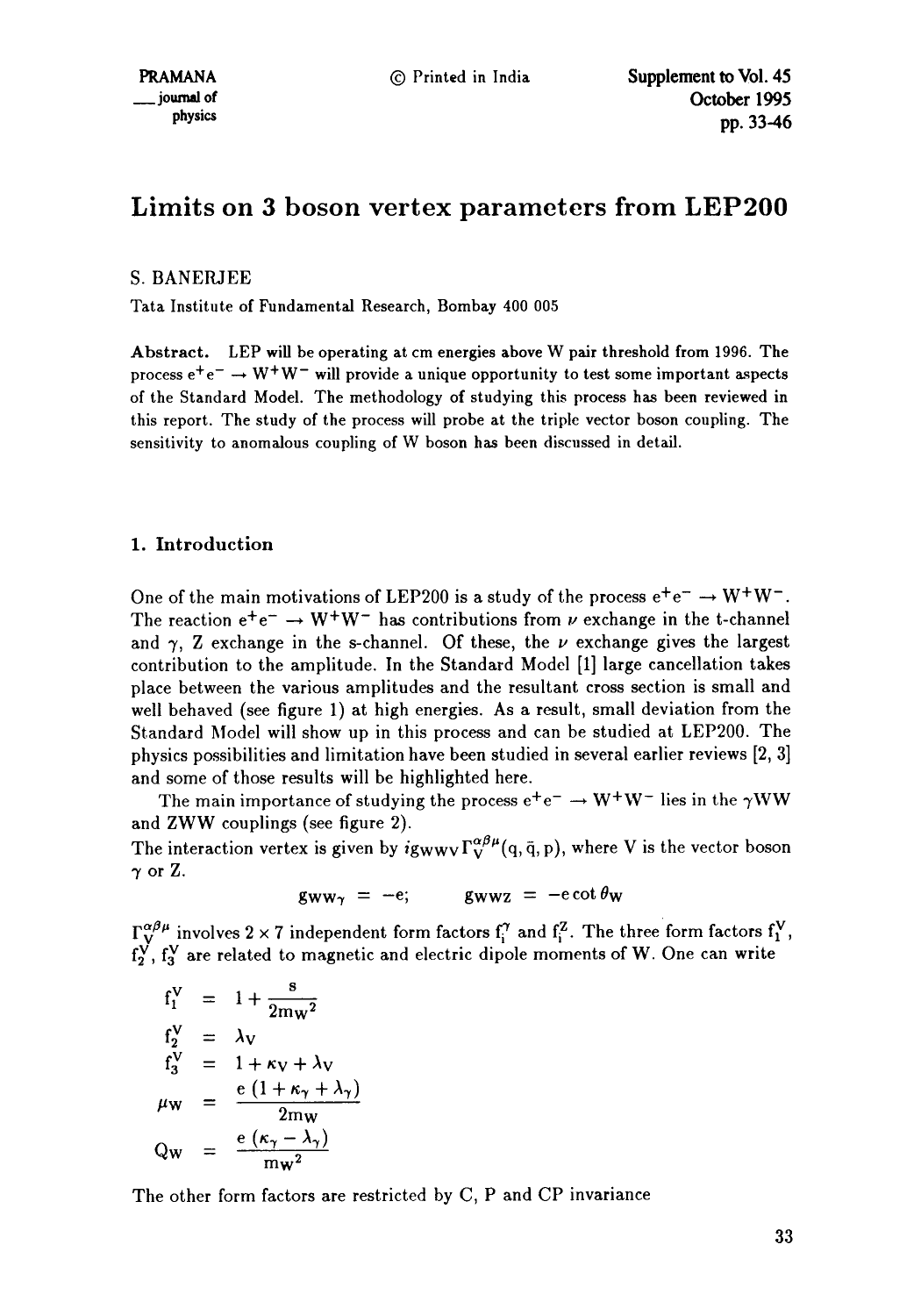# **Limits on 3 boson vertex parameters from LEP200**

## S. BANERJEE

Tata Institute of Fundamental Research, Bombay 400 005

Abstract. LEP will be operating at cm **energies above** W pair threshold from 1996. The process  $e^+e^- \rightarrow W^+W^-$  will provide a unique opportunity to test some important aspects of the Standard Model. The methodology of studying this process has been reviewed in this report. The study of the process will probe at the triple vector boson coupling. The sensitivity to anomalous coupling of W boson has been discussed in detail.

## 1. Introduction

One of the main motivations of LEP200 is a study of the process  $e^+e^- \rightarrow W^+W^-$ . The reaction  $e^+e^- \rightarrow W^+W^-$  has contributions from v exchange in the t-channel and  $\gamma$ , Z exchange in the s-channel. Of these, the  $\nu$  exchange gives the largest contribution to the amplitude. In the Standard Model [1] large cancellation takes place between the various amplitudes and the resultant cross section is small and well behaved (see figure 1) at high energies. As a result, small deviation from the Standard Model will show up in this process and can be studied at LEP200. The physics possibilities and limitation have been studied in several earlier reviews [2, 3] and some of those results will be highlighted here.

The main importance of studying the process  $e^+e^- \rightarrow W^+W^-$  lies in the  $\gamma WW$ and ZWW couplings (see figure 2).

The interaction vertex is given by  $ig_{WWV}\Gamma_V^{\alpha\beta\mu}(q, \bar{q}, p)$ , where V is the vector boson  $\gamma$  or Z.

$$
g_{WW\gamma} = -e; \qquad g_{WWZ} = -e \cot \theta_W
$$

 $\Gamma_V^{\alpha\beta\mu}$  involves 2 × 7 independent form factors  $f_1^{\gamma}$  and  $f_2^{\gamma}$ . The three form factors  $f_1^{\gamma}$ ,  $f_2^V$ ,  $f_3^V$  are related to magnetic and electric dipole moments of W. One can write

$$
f_1^V = 1 + \frac{s}{2mw^2}
$$
  
\n
$$
f_2^V = \lambda_V
$$
  
\n
$$
f_3^V = 1 + \kappa_V + \lambda_V
$$
  
\n
$$
\mu_W = \frac{e(1 + \kappa_\gamma + \lambda_\gamma)}{2mw}
$$
  
\n
$$
Q_W = \frac{e(\kappa_\gamma - \lambda_\gamma)}{mw^2}
$$

The other form factors are restricted by C, P and CP invariance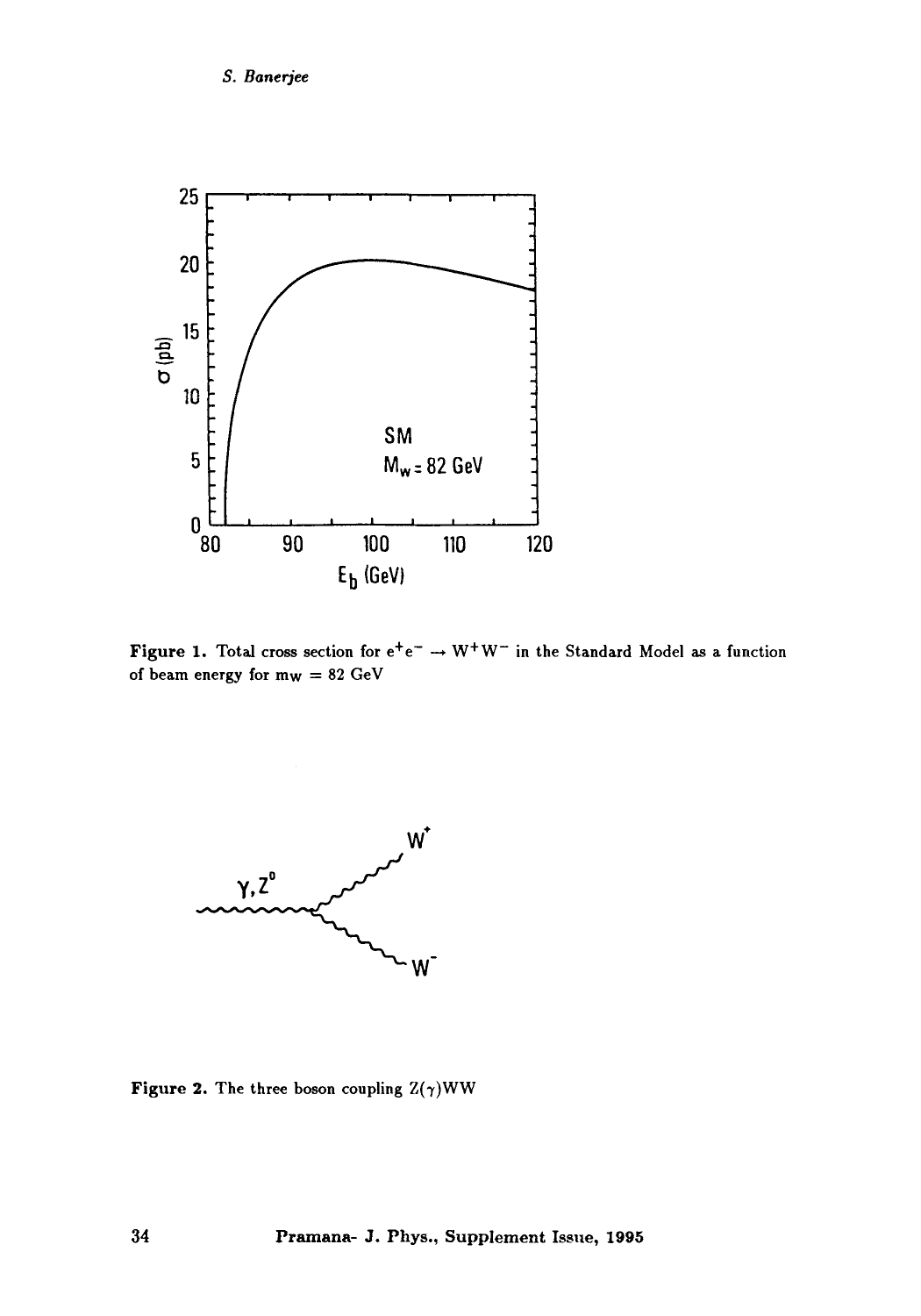## *S. Bane~ee*



Figure 1. Total cross section for  $e^+e^- \rightarrow W^+W^-$  in the Standard Model as a function of beam energy for  $m_W = 82$   $GeV$ 



Figure 2. The three boson coupling  $Z(\gamma)WW$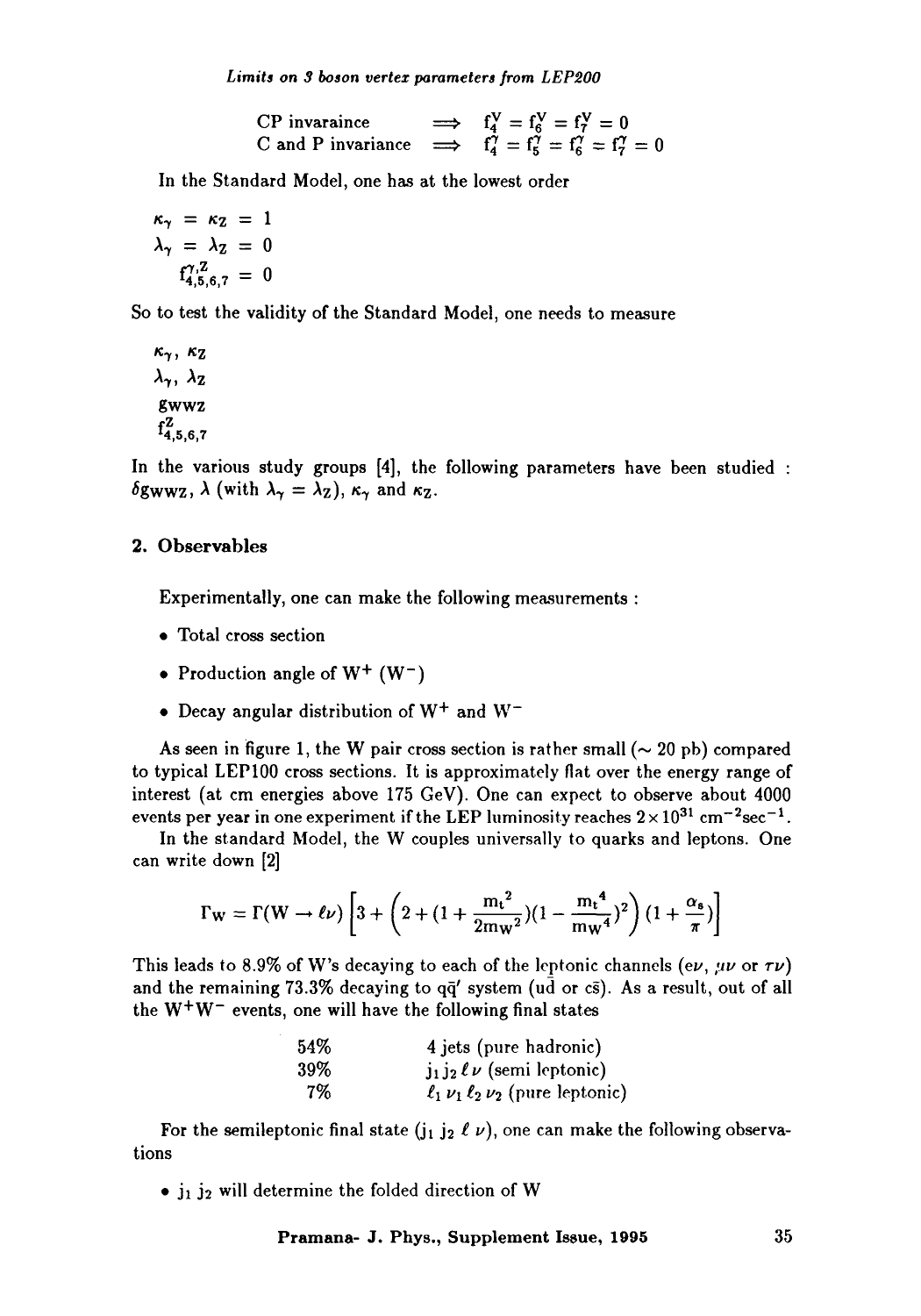Limits on 3 boson vertex parameters from LEP200

CP invaraince  $\implies f_4^V = f_6^V = f_7^V = 0$ C and P invariance  $\implies f_4' = f_5' = f_6'' = f_7' =$ 

In the Standard Model, one has at the lowest order

 $\kappa_{\gamma} = \kappa_{Z} = 1$  $\lambda_{\gamma} = \lambda_{\mathcal{Z}} = 0$  $f_{4,5,6,7}^{\gamma, Z} = 0$ 

So to test the validity of the Standard Model, one needs to measure

 $\kappa_{\gamma}$ ,  $\kappa_{\rm Z}$  $\lambda_{\gamma}$ ,  $\lambda_{\mathbf{Z}}$ gwwz  $f_{4,5,6,7}^Z$ 

In the various study groups [4], the following parameters have been studied :  $\delta$ gwwz,  $\lambda$  (with  $\lambda_{\gamma} = \lambda_{\rm Z}$ ),  $\kappa_{\gamma}$  and  $\kappa_{\rm Z}$ .

### 2. **Observables**

Experimentally, one can make the following measurements :

- Total cross section
- Production angle of  $W^+$  (W<sup>-</sup>)
- Decay angular distribution of  $W^+$  and  $W^-$

As seen in figure 1, the W pair cross section is rather small ( $\sim$  20 pb) compared to typical LEP100 cross sections. It is approximately flat over the energy range of interest (at cm energies above 175 GeV). One can expect to observe about 4000 events per year in one experiment if the LEP luminosity reaches  $2 \times 10^{31}$  cm<sup>-2</sup>sec<sup>-1</sup>.

In the standard Model, the W couples universally to quarks and leptons. One can write down [2]

$$
\Gamma_W = \Gamma(W \to \ell \nu) \left[ 3 + \left( 2 + (1 + \frac{m_t^2}{2m_W^2}) (1 - \frac{m_t^4}{m_W^4})^2 \right) (1 + \frac{\alpha_s}{\pi}) \right]
$$

This leads to 8.9% of W's decaying to each of the leptonic channels (ev,  $\mu\nu$  or  $\tau\nu$ ) and the remaining 73.3% decaying to  $q\bar{q}'$  system (ud or cs). As a result, out of all the  $W^+W^-$  events, one will have the following final states

> 54% 4 jets (pure hadronic) 39% j<sub>1</sub> j<sub>2</sub>  $\ell \nu$  (semi leptonic) 7%  $\ell_1 \nu_1 \ell_2 \nu_2$  (pure leptonic)

For the semileptonic final state (j<sub>1</sub> j<sub>2</sub>  $\ell$   $\nu$ ), one can make the following observations

 $\bullet$  j<sub>1</sub> j<sub>2</sub> will determine the folded direction of W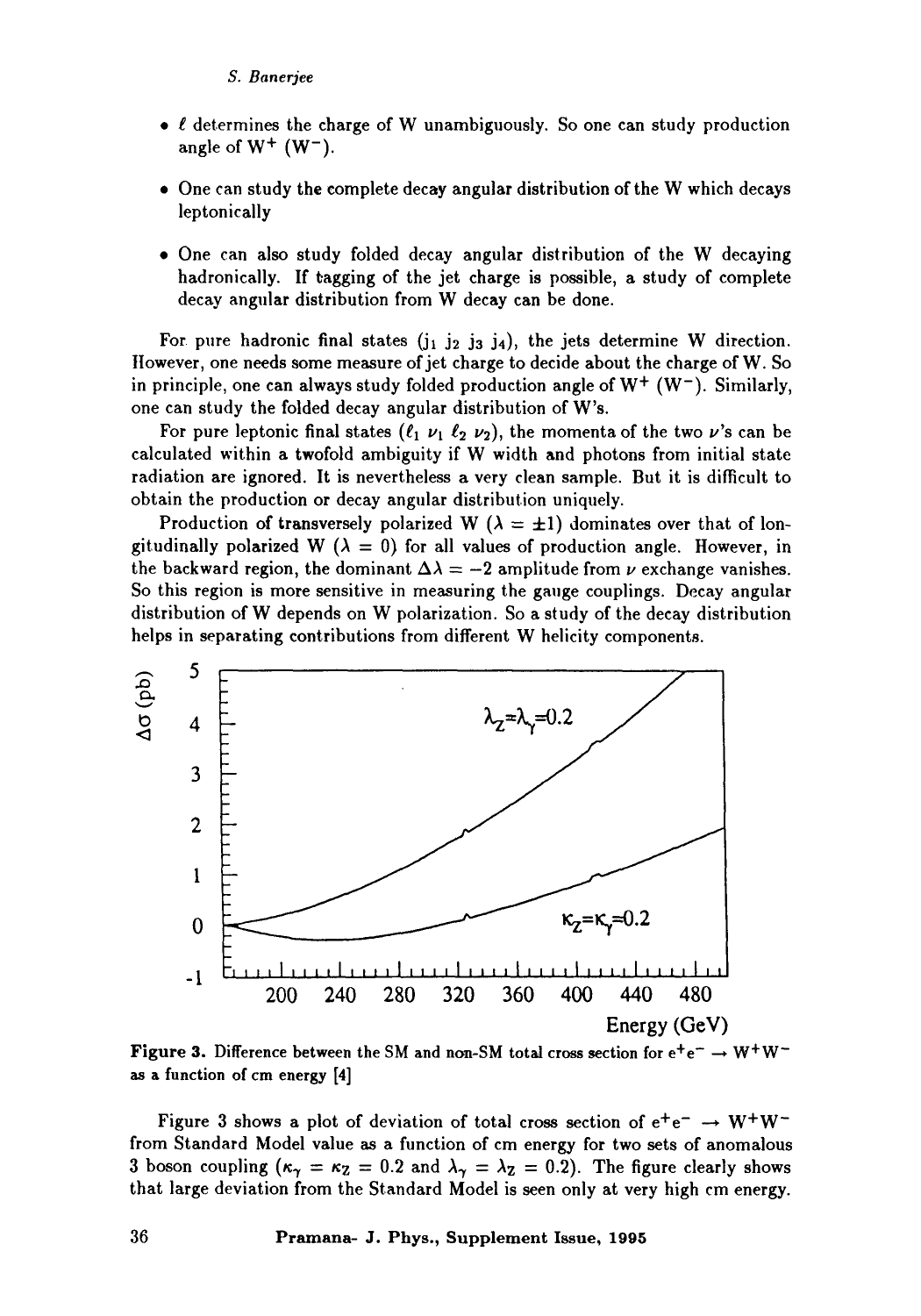- $\bullet$   $\ell$  determines the charge of W unambiguously. So one can study production angle of  $W^+$  ( $W^-$ ).
- One can study the complete decay angular distribution of the W which decays leptonicaily
- 9 One can also study folded decay angular distribution of the W decaying hadronically. If tagging of the jet charge is possible, a study of complete decay angular distribution from W decay can be done.

For pure hadronic final states  $(i_1 \, i_2 \, j_3 \, j_4)$ , the jets determine W direction. Ilowever, one needs some measure of jet charge to decide about the charge of W. So in principle, one can always study folded production angle of  $W^+$  (W<sup>-</sup>). Similarly, one can study the folded decay angular distribution of W's.

For pure leptonic final states  $(\ell_1 \nu_1 \ell_2 \nu_2)$ , the momenta of the two  $\nu$ 's can be calculated within a twofold ambiguity if W width and photons from initial state radiation are ignored. It is nevertheless a very clean sample. But it is difficult to obtain the production or decay angular distribution uniquely.

Production of transversely polarized W ( $\lambda = \pm 1$ ) dominates over that of longitudinally polarized W ( $\lambda = 0$ ) for all values of production angle. However, in the backward region, the dominant  $\Delta \lambda = -2$  amplitude from  $\nu$  exchange vanishes. So this region is more sensitive in measuring the gauge couplings. Decay angular distribution of W depends on W polarization. So a study of the decay distribution helps in separating contributions from different W helicity components.



Figure 3. Difference between the SM and non-SM total cross section for  $e^+e^- \rightarrow W^+W^$ as a function of cm energy [4]

Figure 3 shows a plot of deviation of total cross section of  $e^+e^- \rightarrow W^+W^$ from Standard Model value as a function of cm energy for two sets of anomalous 3 boson coupling  $(\kappa_{\gamma} = \kappa_{\mathbb{Z}} = 0.2$  and  $\lambda_{\gamma} = \lambda_{\mathbb{Z}} = 0.2$ ). The figure clearly shows that large deviation from the Standard Model is seen only at very high cm energy.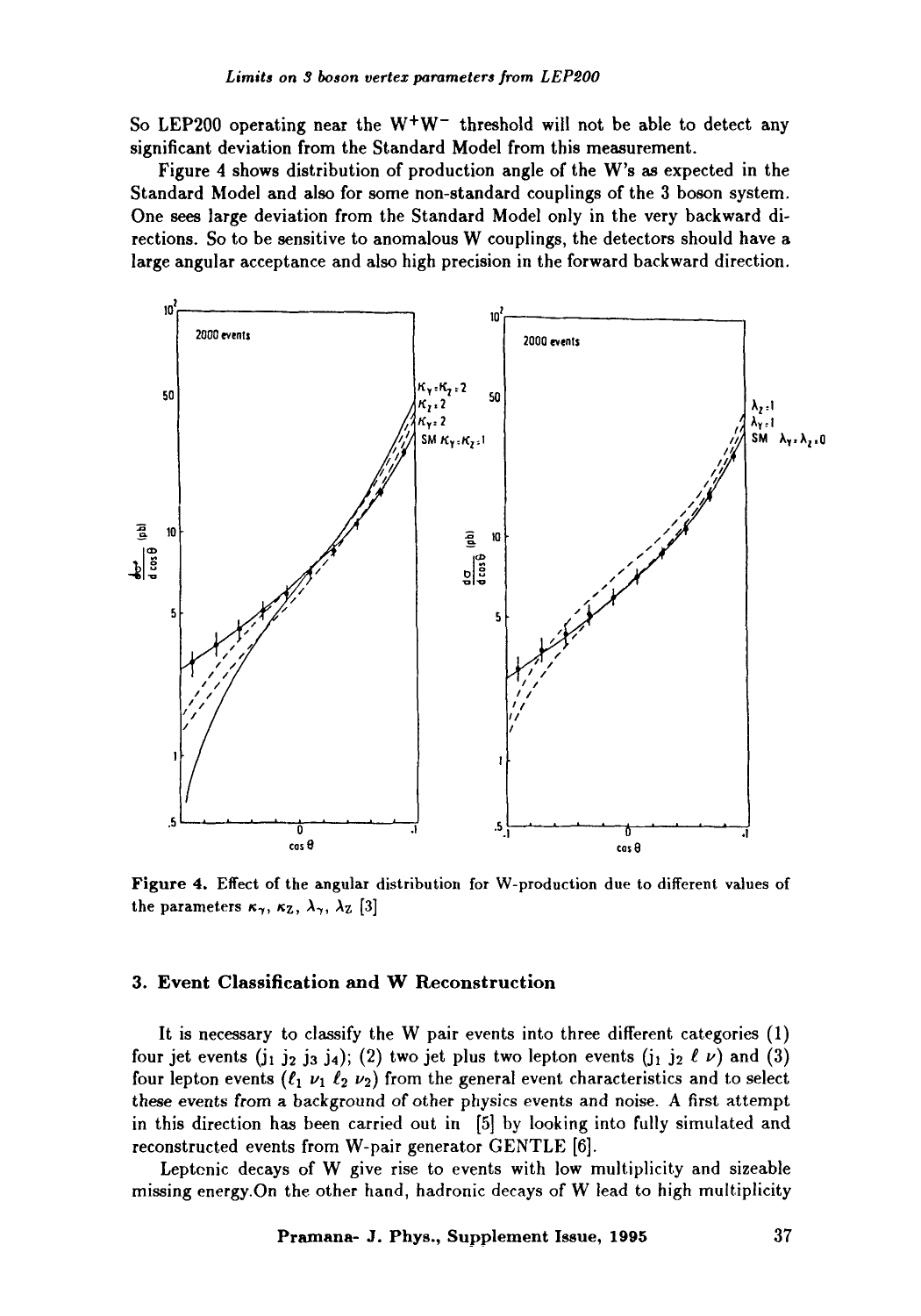So LEP200 operating near the  $W^+W^-$  threshold will not be able to detect any significant deviation from the Standard Model from this measurement.

Figure 4 shows distribution of production angle of the W's as expected in the Standard Model and also for some non-standard couplings of the 3 boson system. One sees large deviation from the Standard Model only in the very backward directions. So to be sensitive to anomalous W couplings, the detectors should have a large angular acceptance and also high precision in the forward backward direction.



Figure 4. Effect of the angular distribution for W-production due to different values of the parameters  $\kappa_{\gamma}$ ,  $\kappa_{\rm Z}$ ,  $\lambda_{\gamma}$ ,  $\lambda_{\rm Z}$  [3]

## 3. Event Classification and W Reconstruction

It is necessary to classify the W pair events into three different categories (1) four jet events  $(j_1 j_2 j_3 j_4)$ ; (2) two jet plus two lepton events  $(j_1 j_2 \ell \nu)$  and (3) four lepton events ( $\ell_1$   $\nu_1$   $\ell_2$   $\nu_2$ ) from the general event characteristics and to select these events from a background of other physics events and noise. A first attempt in this direction has been carried out in [5] by looking into fully simulated and reconstructed events from W-pair generator GENTLE [6].

Leptenic decays of W give rise to events with low multiplicity and sizeable missing energy.On the other hand, hadronic decays of W lead to high multiplicity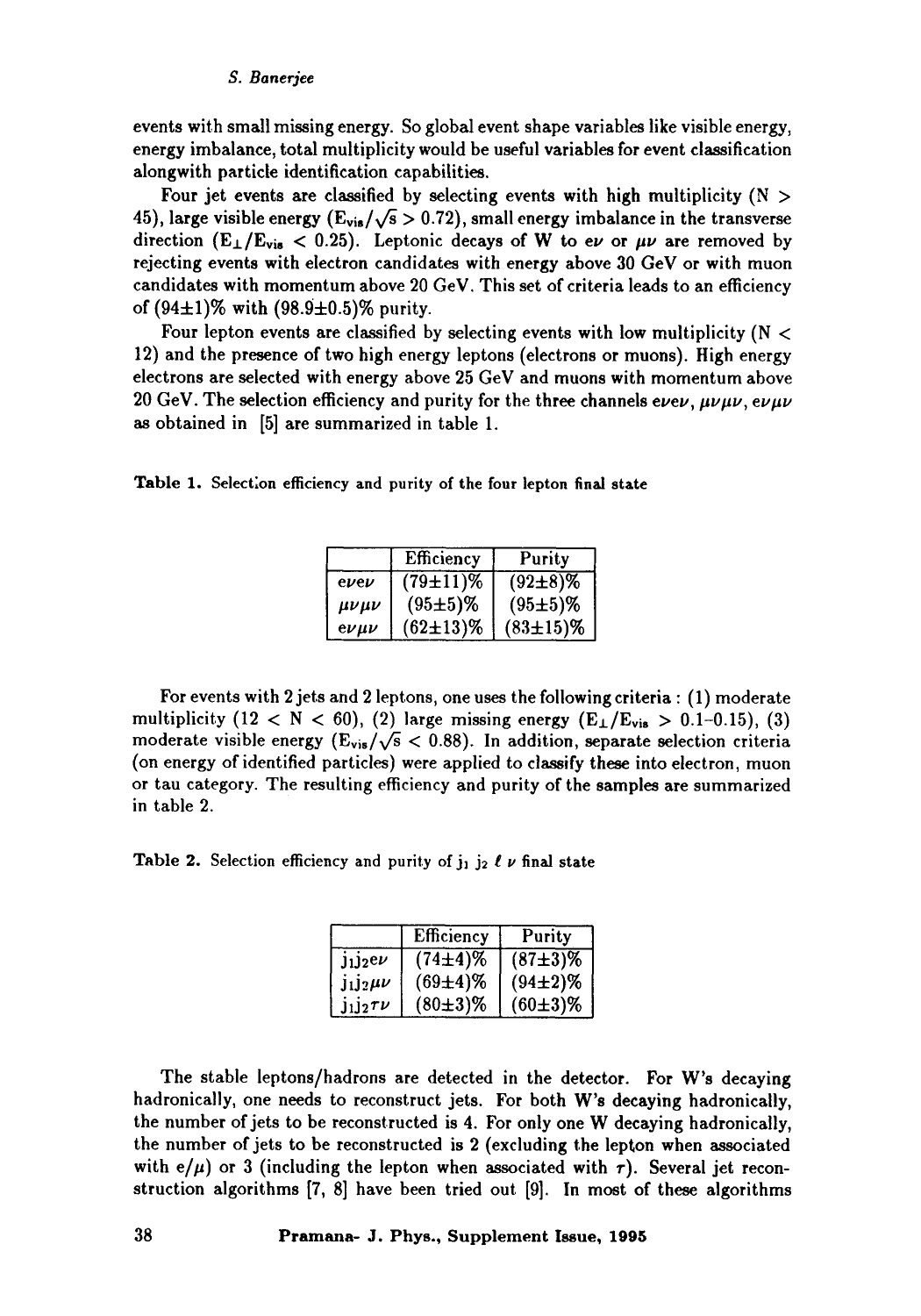#### *S. Banerjee*

events with small missing energy. So global event shape variables like visible energy, energy imbalance, total multiplicity would be useful variables for event classification alongwith particle identification capabilities.

Four jet events are classified by selecting events with high multiplicity ( $N >$ 45), large visible energy ( $E_{vis}/\sqrt{s} > 0.72$ ), small energy imbalance in the transverse direction (E<sub>1</sub>/E<sub>vis</sub> < 0.25). Leptonic decays of W to ev or  $\mu\nu$  are removed by rejecting events with electron candidates with energy above 30 GeV or with muon candidates with momentum above 20 GeV. This set of criteria leads to an efficiency of  $(94\pm1)\%$  with  $(98.9\pm0.5)\%$  purity.

Four lepton events are classified by selecting events with low multiplicity ( $N <$ 12) and the presence of two high energy leptons (electrons or muons). High energy electrons are selected with energy above 25 GeV and muons with momentum above 20 GeV. The selection efficiency and purity for the three channels  $e\nu e\nu$ ,  $\mu\nu\mu\nu$ ,  $e\nu\mu\nu$ as obtained in [5] are summarized in table 1.

Table 1. Selection efficiency and purity of the four lepton final **state** 

|                | Efficiency      | Purity        |
|----------------|-----------------|---------------|
| $e$ <i>vev</i> | $(79 \pm 11)\%$ | $(92\pm8)\%$  |
| $\mu\nu\mu\nu$ | $(95±5)\%$      | $(95±5)\%$    |
| $e\nu\mu\nu$   | $(62\pm13)\%$   | $(83\pm15)\%$ |

For events with 2 jets and 2 leptons, one uses the following criteria : (1) moderate multiplicity (12 < N < 60), (2) large missing energy ( $E_{\perp}/E_{vis} > 0.1$ -0.15), (3) moderate visible energy ( $E_{\text{vis}}/\sqrt{s}$  < 0.88). In addition, separate selection criteria (on energy of identified particles) were applied to classify these into electron, muon or tau category. The resulting efficiency and purity of the samples are summarized in table 2.

Table 2. Selection efficiency and purity of  $j_1$   $j_2$   $\ell$   $\nu$  final state

|                 | Efficiency   | Purity       |
|-----------------|--------------|--------------|
| $J_1J_2e\nu$    | $(74\pm4)\%$ | $(87+3)\%$   |
| $J_1J_2\mu\nu$  | $(69\pm4)\%$ | $(94\pm2)\%$ |
| $J_1J_2\tau\nu$ | $(80\pm3)\%$ | $(60\pm3)\%$ |

The stable leptons/hadrons are detected in the detector. For W's decaying hadronically, one needs to reconstruct jets. For both W's decaying hadronically, the number of jets to be reconstructed is 4. For only one W decaying hadronically, the number of jets to be reconstructed is 2 (excluding the lepton when associated with  $e/\mu$  or 3 (including the lepton when associated with  $\tau$ ). Several jet reconstruction algorithms [7, 8] have been tried out [9]. In most of these algorithms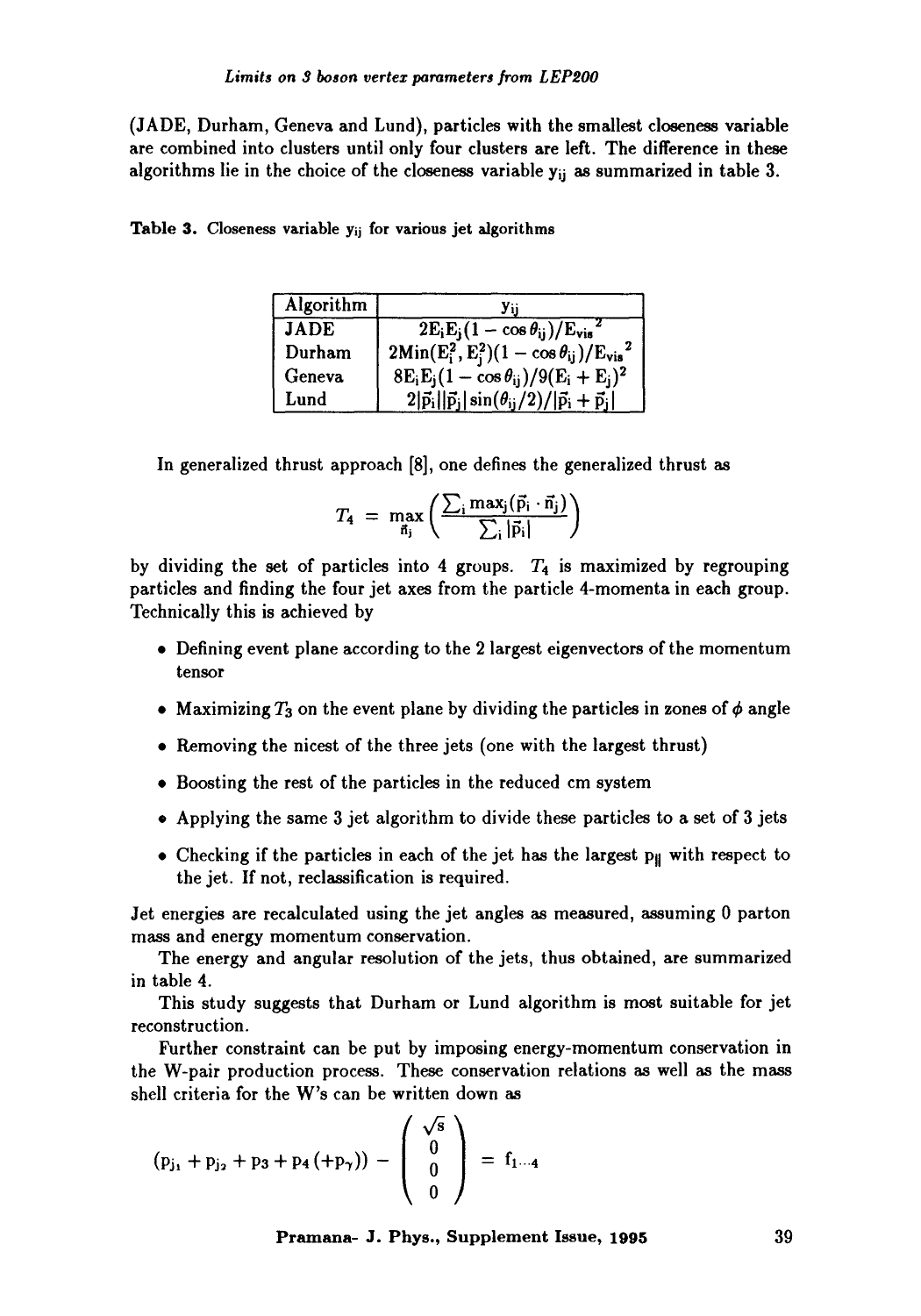(JADE, Durham, Geneva and Lund), particles with the smallest closeness variable are combined into clusters until only four clusters are left. The difference in these algorithms lie in the choice of the closeness variable  $y_{ii}$  as summarized in table 3.

| Algorithm   | Уij                                                                |
|-------------|--------------------------------------------------------------------|
| <b>JADE</b> | $2E_iE_i(1-\cos\theta_{ii})/E_{vis}$                               |
| Durham      | $2Min(E_i^2, E_i^2)(1 - \cos\theta_{ij})/E_{vis}^2$                |
| Geneva      | $8E_iE_j(1-\cos\theta_{ij})/9(E_i+E_j)^2$                          |
| Lund        | $2 \vec{p}_i  \vec{p}_j \sin(\theta_{ij}/2)/ \vec{p}_i+\vec{p}_j $ |

Table 3. Closeness variable y<sub>ij</sub> for various jet algorithms

In generalized thrust approach [8], one defines the generalized thrust as

$$
T_4 = \max_{\vec{n}_j} \left( \frac{\sum_i \max_j (\vec{p}_i \cdot \vec{n}_j)}{\sum_i |\vec{p}_i|} \right)
$$

by dividing the set of particles into 4 groups.  $T_4$  is maximized by regrouping particles and finding the four jet axes from the particle 4-momenta in each group. Technically this is achieved by

- 9 Defining event plane according to the 2 largest eigenvectors of the momentum tensor
- Maximizing  $T_3$  on the event plane by dividing the particles in zones of  $\phi$  angle
- 9 Removing the nicest of the three jets (one with the largest thrust)
- 9 Boosting the rest of the particles in the reduced cm system
- 9 Applying the same 3 jet algorithm to divide these particles to a set of 3 jets
- Checking if the particles in each of the jet has the largest  $p_{\parallel}$  with respect to the jet. If not, reclassification is required.

Jet energies are recalculated using the jet angles as measured, assuming 0 patton mass and energy momentum conservation.

The energy and angular resolution of the jets, thus obtained, are summarized in table 4.

This study suggests that Durham or Lund algorithm is most suitable for jet reconstruction.

Further constraint can be put by imposing energy-momentum conservation in the W-pair production process. These conservation relations as well as the mass shell criteria for the W's can be written down as

$$
(p_{j_1} + p_{j_2} + p_3 + p_4 + p_7)) - \begin{pmatrix} \sqrt{s} \\ 0 \\ 0 \\ 0 \end{pmatrix} = f_{1\cdots 4}
$$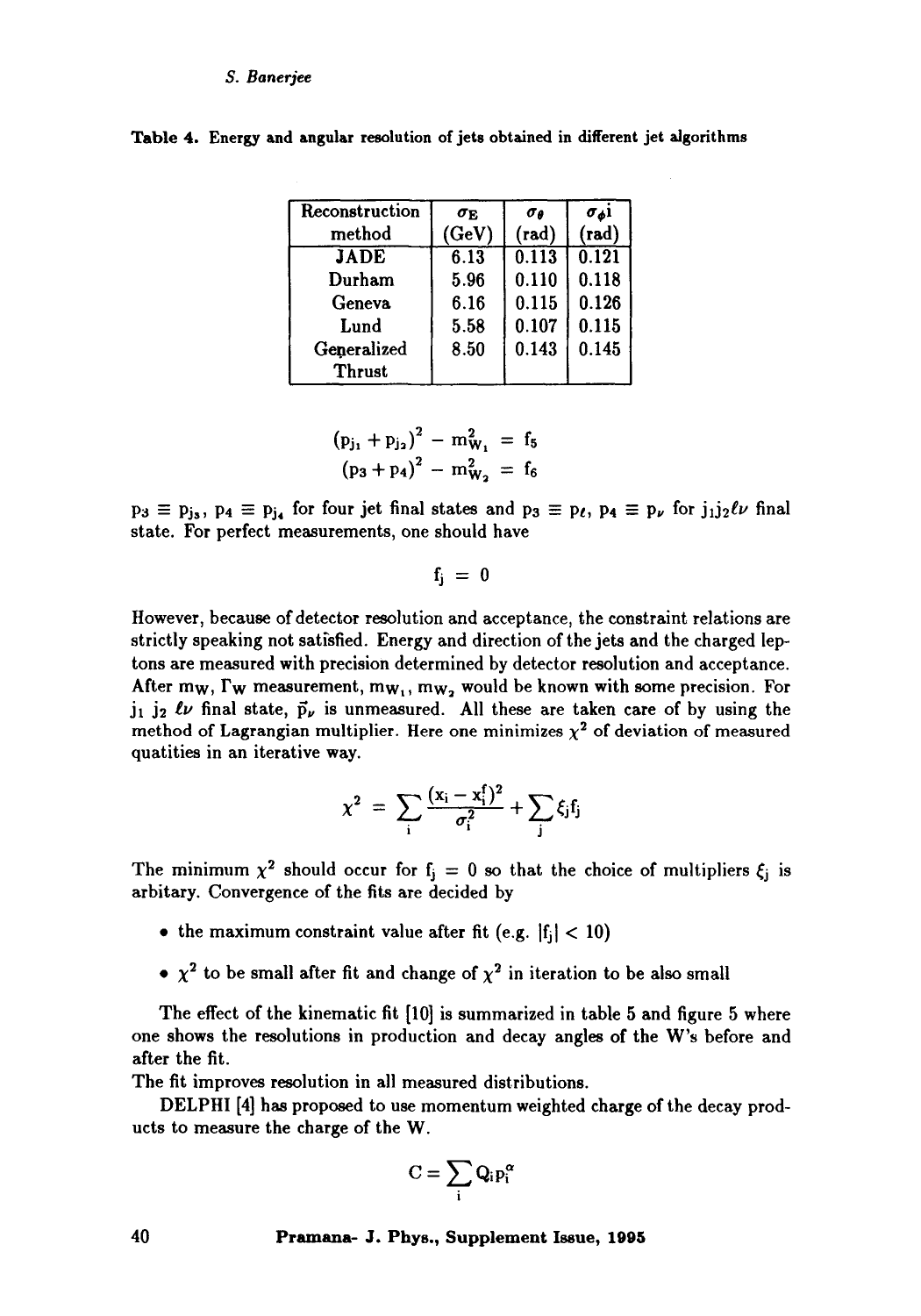#### *S. Banerjee*

| Reconstruction | $\sigma_{\rm E}$ | σø             | σsi            |
|----------------|------------------|----------------|----------------|
| method         | (GeV)            | $(\text{rad})$ | $(\text{rad})$ |
| <b>JADE</b>    | 6.13             | 0.113          | 0.121          |
| Durham         | 5.96             | 0.110          | 0.118          |
| Geneva         | 6.16             | 0.115          | 0.126          |
| Lund           | 5.58             | 0.107          | 0.115          |
| Generalized    | 8.50             | 0.143          | 0.145          |
| Thrust         |                  |                |                |

**Table** 4. Energy and angular resolution of jets obtained in different jet algorithms

$$
(p_{j_1} + p_{j_2})^2 - m_{W_1}^2 = f_5
$$
  

$$
(p_3 + p_4)^2 - m_{W_2}^2 = f_6
$$

 $p_3 \equiv p_{j_3}$ ,  $p_4 \equiv p_{j_4}$  for four jet final states and  $p_3 \equiv p_\ell$ ,  $p_4 \equiv p_\nu$  for  $j_1 j_2 \ell \nu$  final state. For perfect measurements, one should have

 $f_i = 0$ 

However, because of detector resolution and acceptance, the constraint relations are strictly speaking not satisfied. Energy and direction of the jets and the charged leptons are measured with precision determined by detector resolution and acceptance. After mw,  $\Gamma_W$  measurement, mw<sub>1</sub>, mw<sub>2</sub> would be known with some precision. For  $j_1$   $j_2$   $\ell\nu$  final state,  $\vec{p}_{\nu}$  is unmeasured. All these are taken care of by using the method of Lagrangian multiplier. Here one minimizes  $\chi^2$  of deviation of measured quatities in an iterative way.

$$
\chi^2 = \sum_i \frac{(x_i - x_i^f)^2}{\sigma_i^2} + \sum_j \xi_j f_j
$$

The minimum  $\chi^2$  should occur for  $f_j = 0$  so that the choice of multipliers  $\xi_j$  is arbitary. Convergence of the fits are decided by

- the maximum constraint value after fit (e.g.  $|f_i| < 10$ )
- $\chi^2$  to be small after fit and change of  $\chi^2$  in iteration to be also small

The effect of the kinematic fit [10] is summarized in table 5 and figure 5 where one shows the resolutions in production and decay angles of the W's before and after the fit.

The fit improves resolution in all measured distributions.

DELPHI [4] has proposed to use momentum weighted charge of the decay products to measure the charge of the W.

$$
C=\sum_i Q_i p_i^\alpha
$$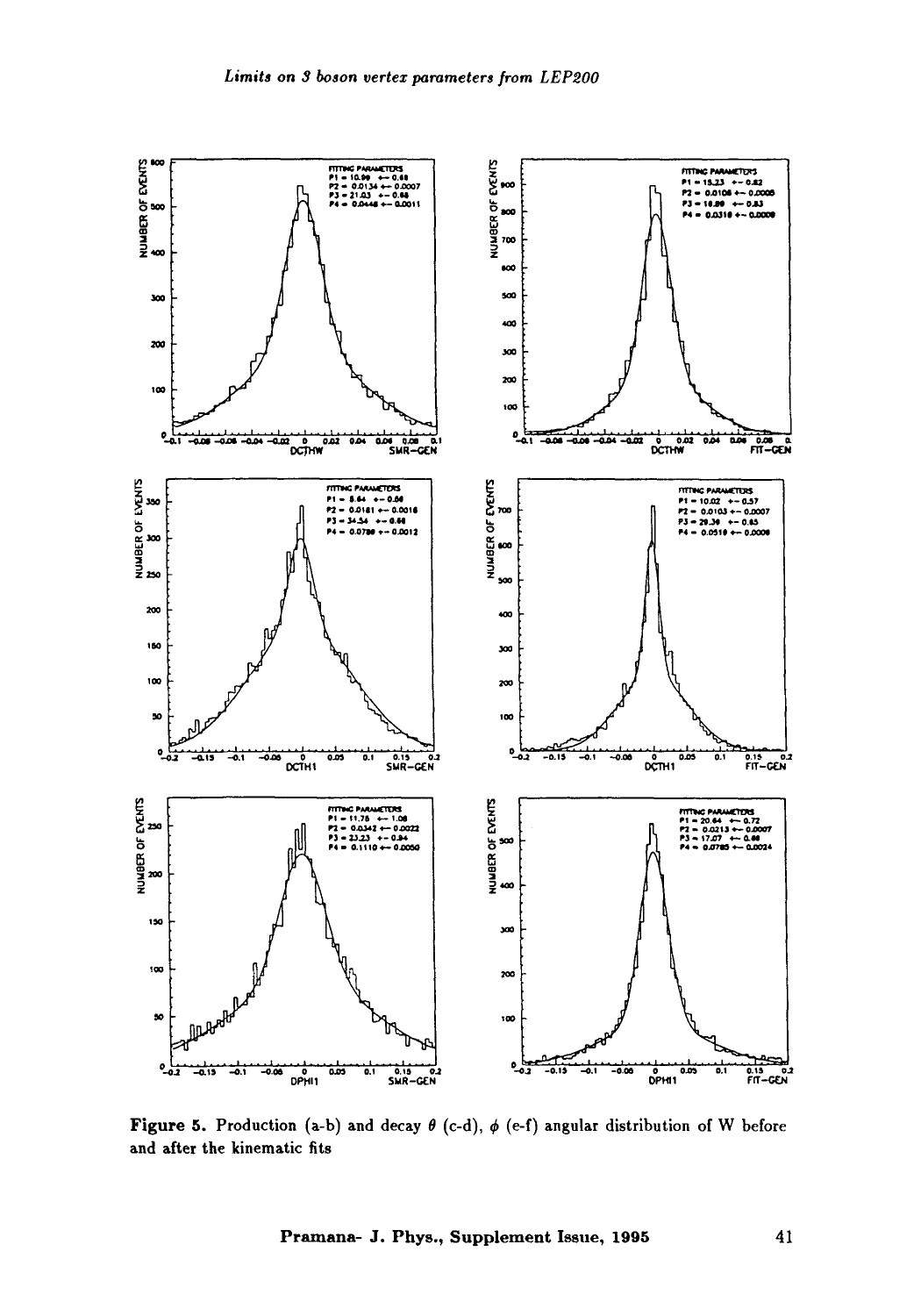

Figure 5. Production (a-b) and decay  $\theta$  (c-d),  $\phi$  (e-f) angular distribution of W before and after the kinematic fits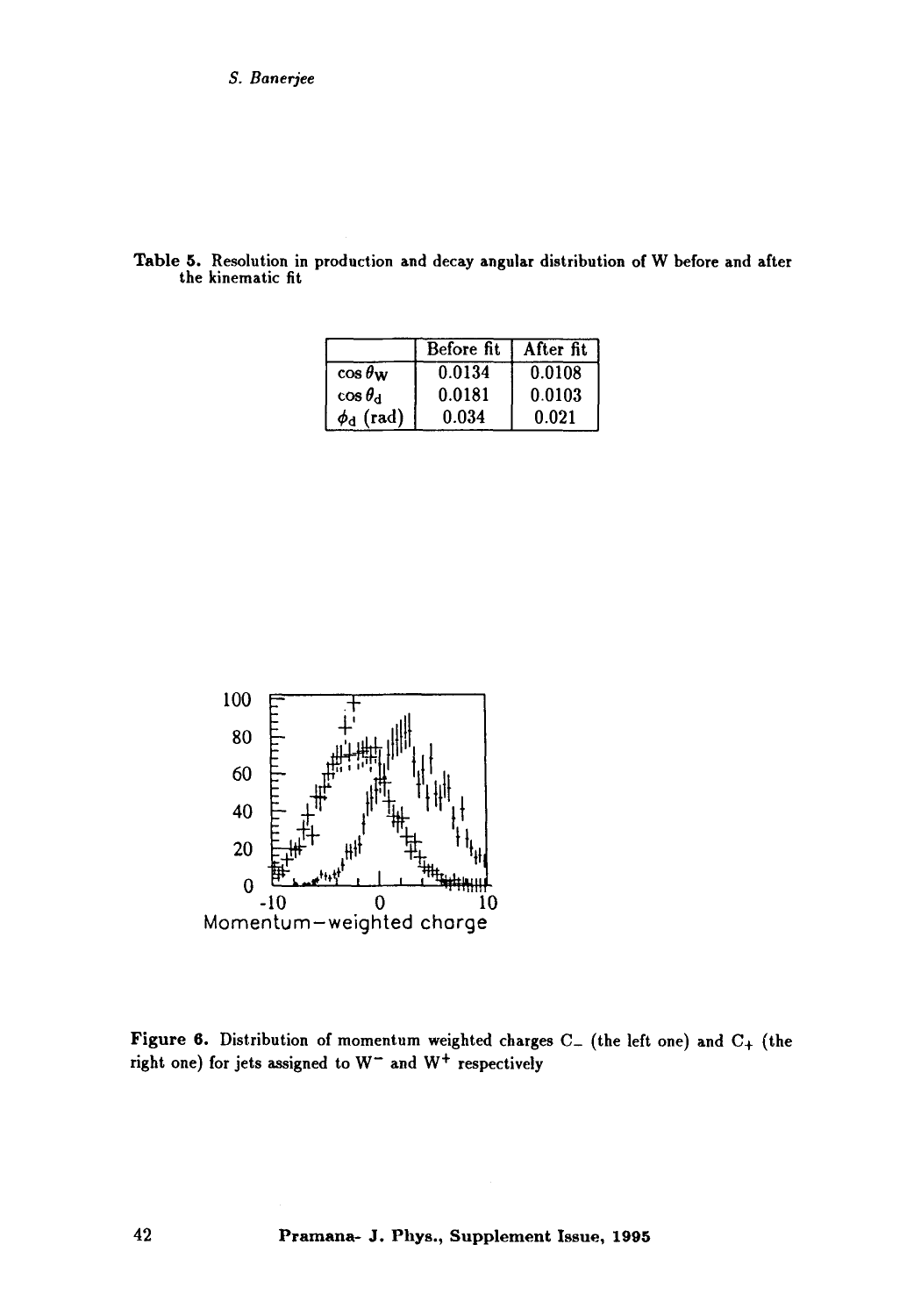| the kinematic fit |  |  |  |
|-------------------|--|--|--|
|                   |  |  |  |
|                   |  |  |  |

Table 5. Resolution in production and decay angular distribution of W before and after

|                       | Before fit | After fit |
|-----------------------|------------|-----------|
| $\cos \theta_{\rm W}$ | 0.0134     | 0.0108    |
| $\cos\theta_{\rm d}$  | 0.0181     | 0.0103    |
| $\phi_d$ (rad)        | 0.034      | 0.021     |



Figure 6. Distribution of momentum weighted charges  $C_{-}$  (the left one) and  $C_{+}$  (the right one) for jets assigned to  $W^-$  and  $W^+$  respectively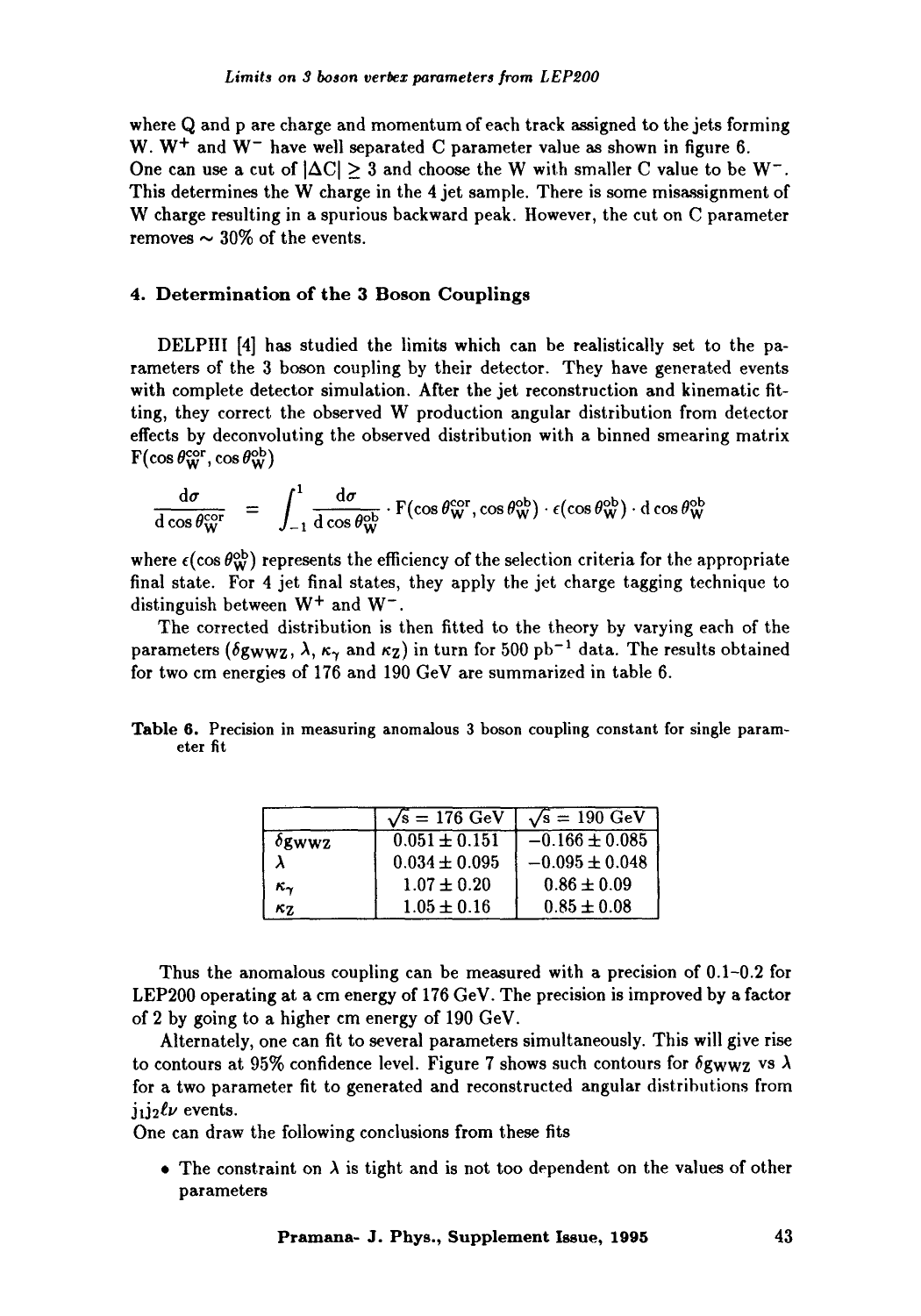where Q and p are charge and momentum of each track assigned to the jets forming W.  $W^+$  and  $W^-$  have well separated C parameter value as shown in figure 6. One can use a cut of  $|\Delta C| \geq 3$  and choose the W with smaller C value to be W<sup>-</sup>. This determines the W charge in the  $4$  jet sample. There is some misassignment of W charge resulting in a spurious backward peak. However, the cut on C parameter removes  $\sim$  30% of the events.

## **4. Determination of the 3 Boson Couplings**

DELPIII [4] has studied the limits which can be realistically set to the parameters of the 3 boson coupling by their detector. They have generated events with complete detector simulation. After the jet reconstruction and kinematic fitting, they correct the observed W production angular distribution from detector effects by deconvoluting the observed distribution with a binned smearing matrix  $F(\cos \theta_{\rm W}^{\rm cor}, \cos \theta_{\rm W}^{\rm ob})$ 

$$
\frac{d\sigma}{d\cos\theta_W^{\rm cor}} = \int_{-1}^{1} \frac{d\sigma}{d\cos\theta_W^{\rm ob}} \cdot F(\cos\theta_W^{\rm cor}, \cos\theta_W^{\rm ob}) \cdot \epsilon(\cos\theta_W^{\rm ob}) \cdot d\cos\theta_W^{\rm ob}
$$

where  $\epsilon(\cos \theta_{\rm w}^{\rm ob})$  represents the efficiency of the selection criteria for the appropriate final state. For 4 jet final states, they apply the jet charge tagging technique to distinguish between  $W^+$  and  $W^-$ .

The corrected distribution is then fitted to the theory by varying each of the parameters ( $\delta g_{WWZ}$ ,  $\lambda$ ,  $\kappa_{\gamma}$  and  $\kappa_{Z}$ ) in turn for 500 pb<sup>-1</sup> data. The results obtained for two cm energies of 176 and 190 GeV are summarized in table 6.

|          | Table 6. Precision in measuring anomalous 3 boson coupling constant for single param- |  |  |  |
|----------|---------------------------------------------------------------------------------------|--|--|--|
| eter fit |                                                                                       |  |  |  |

|               | $\sqrt{s} = 176 \text{ GeV}$ | $\sqrt{s} = 190 \text{ GeV}$ |
|---------------|------------------------------|------------------------------|
| $\delta$ gwwz | $0.051 \pm 0.151$            | $-0.166 \pm 0.085$           |
|               | $0.034 \pm 0.095$            | $-0.095 \pm 0.048$           |
| κ.,           | $1.07 \pm 0.20$              | $0.86 \pm 0.09$              |
| κ7.           | $1.05 \pm 0.16$              | $0.85 \pm 0.08$              |

Thus the anomalous coupling can be measured with a precision of 0.1-0.2 for LEP200 operating at a cm energy of 176 GeV. The precision is improved by a factor of 2 by going to a higher cm energy of 190 GeV.

Alternately, one can fit to several parameters simultaneously. This will give rise to contours at 95% confidence level. Figure 7 shows such contours for  $\delta g_{WWZ}$  vs  $\lambda$ for a two parameter fit to generated and reconstructed angular distributions from  $j_1 j_2 \ell \nu$  events.

One can draw the following conclusions from these fits

• The constraint on  $\lambda$  is tight and is not too dependent on the values of other parameters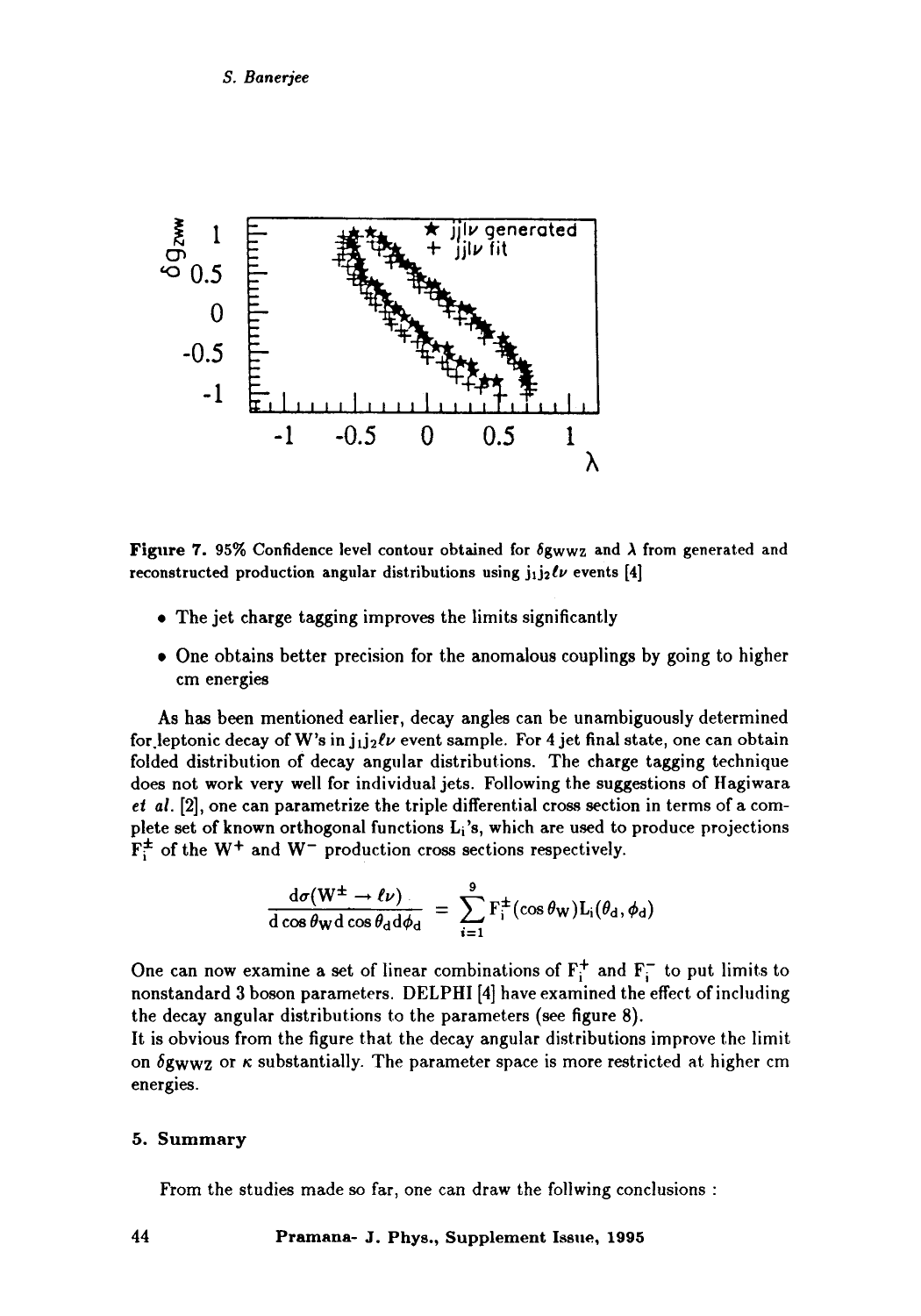

**Figure 7.** 95% Confidence level contour obtained for  $\delta$ gwwz and  $\lambda$  from generated and reconstructed production angular distributions using  $j_1j_2\ell\nu$  events [4]

- The jet charge tagging improves the limits significantly
- One obtains better precision for the anomalous couplings by going to higher cm energies

As has been mentioned earlier, decay angles can be unambiguously determined for leptonic decay of W's in  $j_1 j_2 \ell \nu$  event sample. For 4 jet final state, one can obtain folded distribution of decay angular distributions. The charge tagging technique does not work very well for individual jets. Following the suggestions of Hagiwara *et al.* [2], one can parametrize the triple differential cross section in terms of a complete set of known orthogonal functions  $L_i$ 's, which are used to produce projections  $F_i^{\pm}$  of the W<sup>+</sup> and W<sup>-</sup> production cross sections respectively.

$$
\frac{d\sigma(W^{\pm}\to\ell\nu)}{d\cos\theta_W d\cos\theta_d d\phi_d} = \sum_{i=1}^9 F_i^{\pm}(\cos\theta_W)L_i(\theta_d,\phi_d)
$$

One can now examine a set of linear combinations of  $F_i^+$  and  $F_i^-$  to put limits to nonstandard 3 boson parameters. DELPHI [4] have examined the effect of including the decay angular distributions to the parameters (see figure 8).

It is obvious from the figure that the decay angular distributions improve thc limit on  $\delta g_{WWZ}$  or  $\kappa$  substantially. The parameter space is more restricted at higher cm energies.

#### **5.** Summary

From the studies made so far, one can draw the follwing conclusions :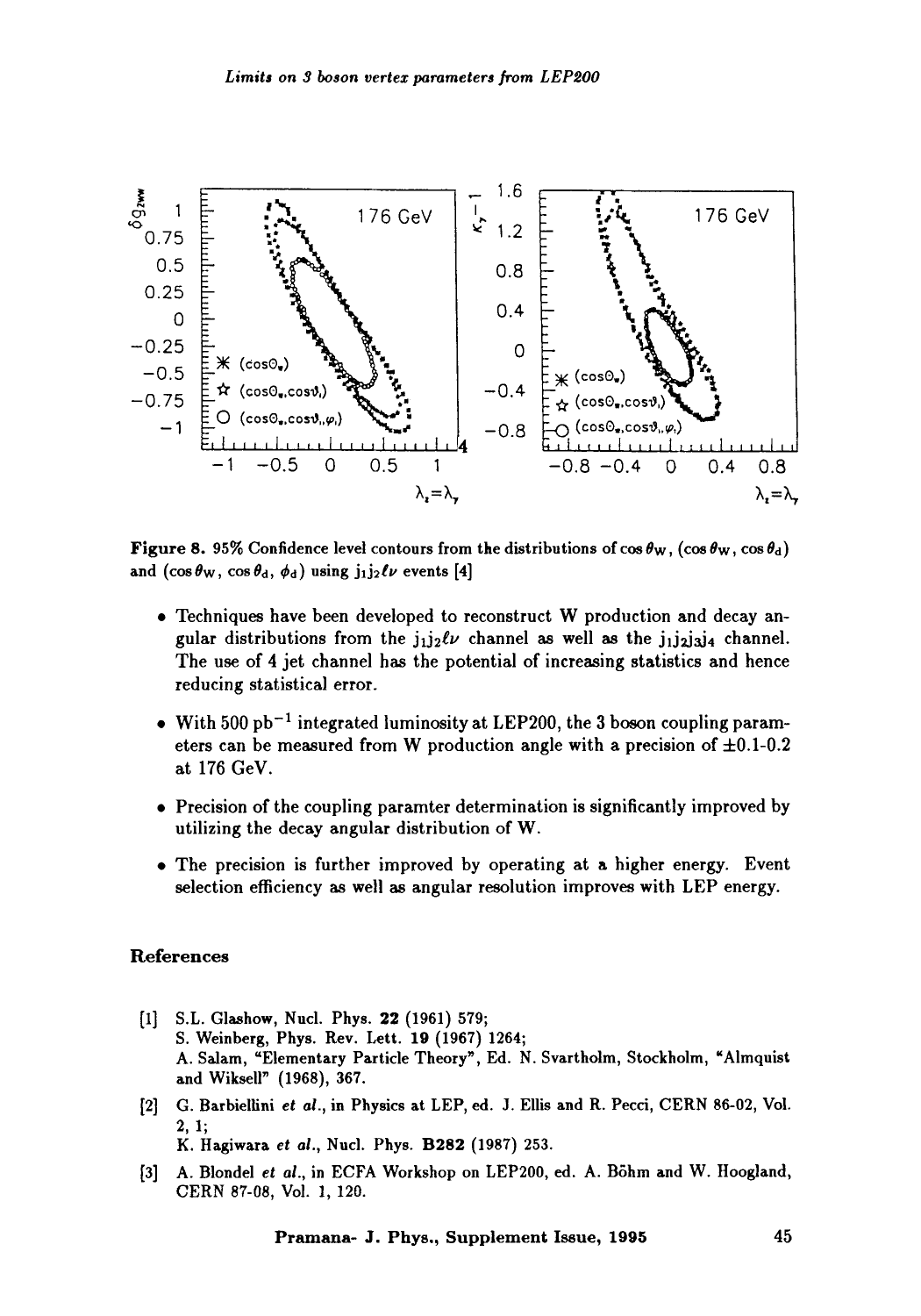

**Figure 8.** 95% Confidence level contours from the distributions of  $\cos \theta_W$ ,  $(\cos \theta_W, \cos \theta_d)$ and  $(\cos \theta_{\rm W}, \cos \theta_{\rm d}, \phi_{\rm d})$  using  $j_1 j_2 \ell \nu$  events [4]

- Techniques have been developed to reconstruct W production and decay angular distributions from the  $j_1j_2\ell\nu$  channel as well as the  $j_1j_2j_3j_4$  channel. The use of 4 jet channel has the potential of increasing statistics and hence reducing statistical error.
- With 500  $pb^{-1}$  integrated luminosity at LEP200, the 3 boson coupling parameters can be measured from W production angle with a precision of  $\pm 0.1$ -0.2 at 176 GeV.
- Precision of the coupling paramter determination is significantly improved by utilizing the decay angular distribution of W.
- The precision is further improved by operating at a higher energy. Event selection efficiency as well as angular resolution improves with LEP energy.

#### **References**

- [1] S.L. Glashow, Nucl. Phys. 22 (1961) 579; S. Weinberg, Phys. Rev. Lett. 19 (1967) 1264; **A.** Salam, "Elementary Particle Theory", Ed. N. Svartholm, Stockholm, "Almquist and Wiksell" (1968), 367.
- **[2] G. Barbiellini** *et al.,* **in** Physics at LEP, ed. J. Ellis and R. Pecci, CERN 86-02, Vol. 2, 1; K. Hagiwara *et al.,* Nuc]. Phys. B282 (1987) 253.
- [3] A. Blondel *et al.,* in ECFA Workshop on LEP200, ed. A. B5hm and W. Hoogland, CERN 87-08, Vol. 1,120.